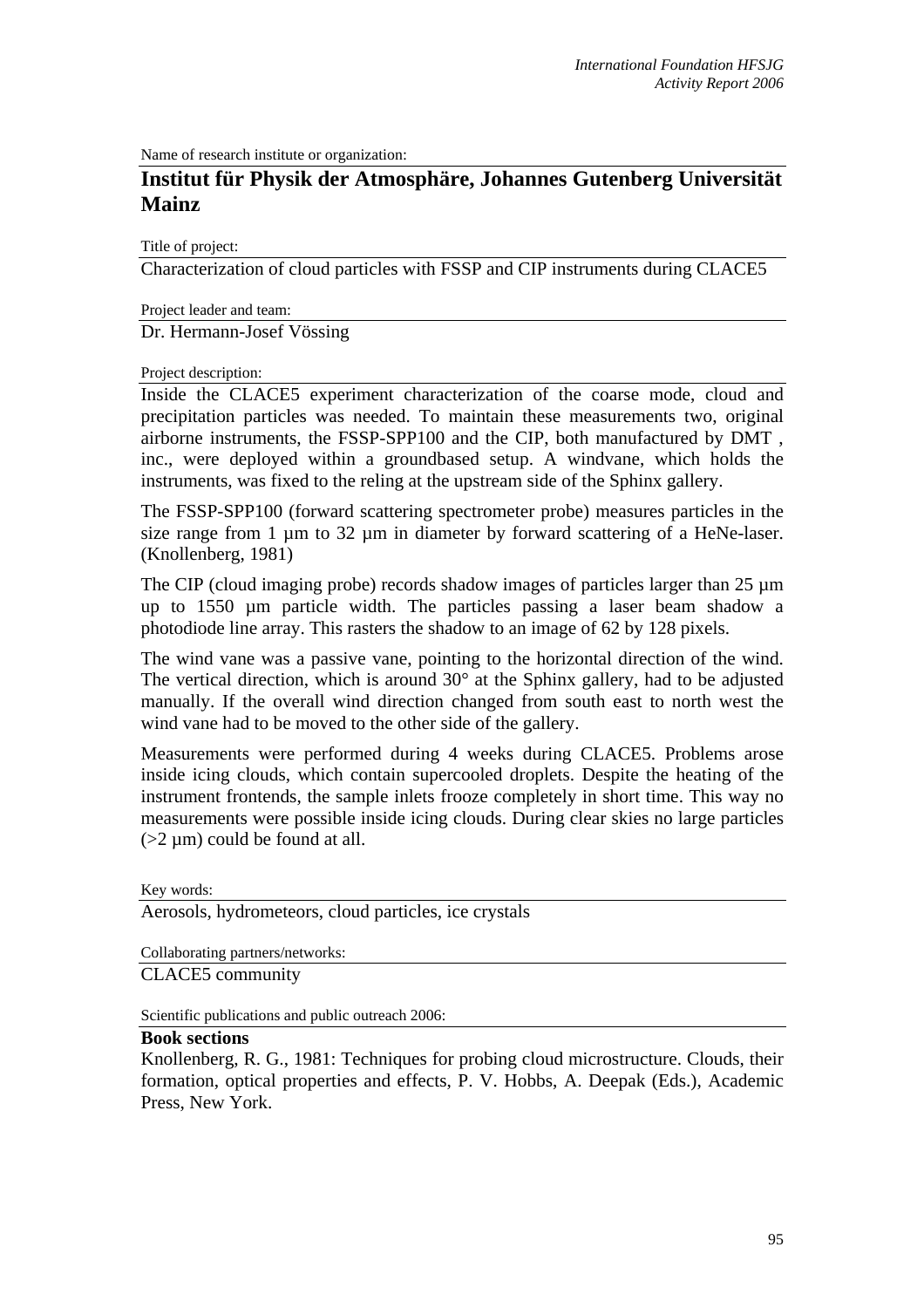Name of research institute or organization:

## **Institut für Physik der Atmosphäre, Johannes Gutenberg Universität Mainz**

Title of project:

Characterization of cloud particles with FSSP and CIP instruments during CLACE5

Project leader and team:

Dr. Hermann-Josef Vössing

## Project description:

Inside the CLACE5 experiment characterization of the coarse mode, cloud and precipitation particles was needed. To maintain these measurements two, original airborne instruments, the FSSP-SPP100 and the CIP, both manufactured by DMT , inc., were deployed within a groundbased setup. A windvane, which holds the instruments, was fixed to the reling at the upstream side of the Sphinx gallery.

The FSSP-SPP100 (forward scattering spectrometer probe) measures particles in the size range from 1  $\mu$ m to 32  $\mu$ m in diameter by forward scattering of a HeNe-laser. (Knollenberg, 1981)

The CIP (cloud imaging probe) records shadow images of particles larger than 25  $\mu$ m up to 1550 µm particle width. The particles passing a laser beam shadow a photodiode line array. This rasters the shadow to an image of 62 by 128 pixels.

The wind vane was a passive vane, pointing to the horizontal direction of the wind. The vertical direction, which is around  $30^{\circ}$  at the Sphinx gallery, had to be adjusted manually. If the overall wind direction changed from south east to north west the wind vane had to be moved to the other side of the gallery.

Measurements were performed during 4 weeks during CLACE5. Problems arose inside icing clouds, which contain supercooled droplets. Despite the heating of the instrument frontends, the sample inlets frooze completely in short time. This way no measurements were possible inside icing clouds. During clear skies no large particles  $(>2 \mu m)$  could be found at all.

Key words:

Aerosols, hydrometeors, cloud particles, ice crystals

Collaborating partners/networks:

CLACE5 community

Scientific publications and public outreach 2006:

## **Book sections**

Knollenberg, R. G., 1981: Techniques for probing cloud microstructure. Clouds, their formation, optical properties and effects, P. V. Hobbs, A. Deepak (Eds.), Academic Press, New York.